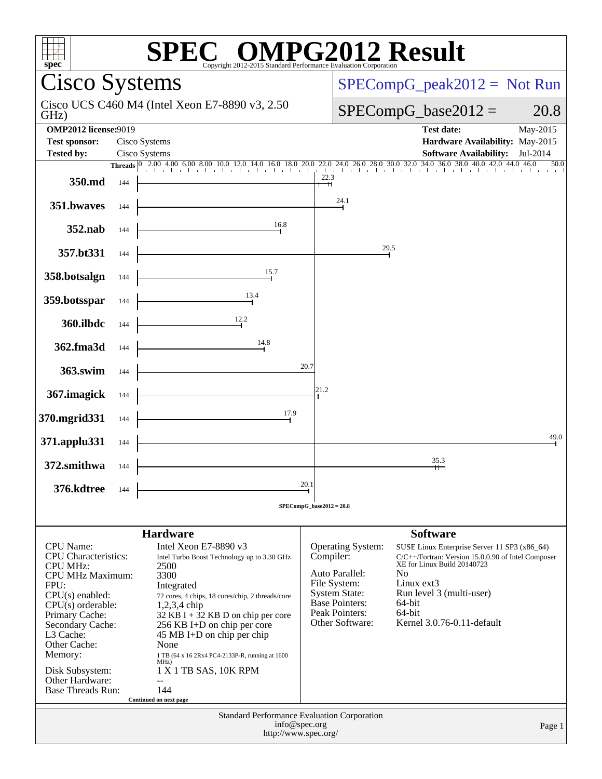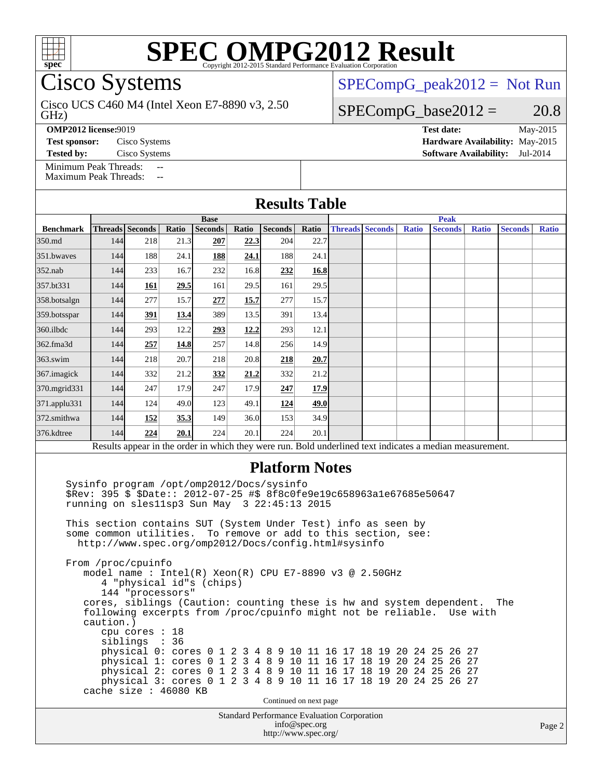

Cisco Systems

GHz) Cisco UCS C460 M4 (Intel Xeon E7-8890 v3, 2.50

**Base**

**[OMP2012 license:](http://www.spec.org/auto/omp2012/Docs/result-fields.html#OMP2012license)**9019 **[Test date:](http://www.spec.org/auto/omp2012/Docs/result-fields.html#Testdate)** May-2015

[Minimum Peak Threads:](http://www.spec.org/auto/omp2012/Docs/result-fields.html#MinimumPeakThreads)

[Maximum Peak Threads:](http://www.spec.org/auto/omp2012/Docs/result-fields.html#MaximumPeakThreads)

 $SPECompG_peak2012 = Not Run$  $SPECompG_peak2012 = Not Run$ 

**Peak**

### $SPECompG_base2012 = 20.8$  $SPECompG_base2012 = 20.8$

**[Test sponsor:](http://www.spec.org/auto/omp2012/Docs/result-fields.html#Testsponsor)** Cisco Systems **[Hardware Availability:](http://www.spec.org/auto/omp2012/Docs/result-fields.html#HardwareAvailability)** May-2015 **[Tested by:](http://www.spec.org/auto/omp2012/Docs/result-fields.html#Testedby)** Cisco Systems **[Software Availability:](http://www.spec.org/auto/omp2012/Docs/result-fields.html#SoftwareAvailability)** Jul-2014

| <b>Results Table</b> |  |                                 |  |  |  |  |  |  |  |
|----------------------|--|---------------------------------|--|--|--|--|--|--|--|
|                      |  |                                 |  |  |  |  |  |  |  |
| s                    |  | Ratio Seconds Ratio Threads Sec |  |  |  |  |  |  |  |

| <b>Benchmark</b> |     | <b>Threads</b> Seconds | Ratio       | <b>Seconds</b> | Ratio | <b>Seconds</b> | Ratio | <b>Threads Seconds</b> | <b>Ratio</b> | <b>Seconds</b>                                                                                           | <b>Ratio</b> | <b>Seconds</b> | <b>Ratio</b> |
|------------------|-----|------------------------|-------------|----------------|-------|----------------|-------|------------------------|--------------|----------------------------------------------------------------------------------------------------------|--------------|----------------|--------------|
| 350.md           | 144 | 218                    | 21.3        | 207            | 22.3  | 204            | 22.7  |                        |              |                                                                                                          |              |                |              |
| 351.bwaves       | 144 | 188                    | 24.1        | 188            | 24.1  | 188            | 24.1  |                        |              |                                                                                                          |              |                |              |
| $352$ .nab       | 144 | 233                    | 16.7        | 232            | 16.8  | 232            | 16.8  |                        |              |                                                                                                          |              |                |              |
| 357.bt331        | 144 | 161                    | 29.5        | 161            | 29.5  | 161            | 29.5  |                        |              |                                                                                                          |              |                |              |
| 358.botsalgn     | 144 | 277                    | 15.7        | 277            | 15.7  | 277            | 15.7  |                        |              |                                                                                                          |              |                |              |
| 359.botsspar     | 144 | <u>391</u>             | <u>13.4</u> | 389            | 13.5  | 391            | 13.4  |                        |              |                                                                                                          |              |                |              |
| $360$ .ilbdc     | 144 | 293                    | 12.2        | 293            | 12.2  | 293            | 12.1  |                        |              |                                                                                                          |              |                |              |
| 362.fma3d        | 144 | 257                    | 14.8        | 257            | 14.8  | 256            | 14.9  |                        |              |                                                                                                          |              |                |              |
| $363$ .swim      | 144 | 218                    | 20.7        | 218            | 20.8  | 218            | 20.7  |                        |              |                                                                                                          |              |                |              |
| 367.imagick      | 144 | 332                    | 21.2        | 332            | 21.2  | 332            | 21.2  |                        |              |                                                                                                          |              |                |              |
| 370.mgrid331     | 144 | 247                    | 17.9        | 247            | 17.9  | 247            | 17.9  |                        |              |                                                                                                          |              |                |              |
| 371.applu331     | 144 | 124                    | 49.0        | 123            | 49.1  | 124            | 49.0  |                        |              |                                                                                                          |              |                |              |
| 372.smithwa      | 144 | 152                    | 35.3        | 149            | 36.0  | 153            | 34.9  |                        |              |                                                                                                          |              |                |              |
| 376.kdtree       | 144 | 224                    | 20.1        | 224            | 20.1  | 224            | 20.1  |                        |              |                                                                                                          |              |                |              |
|                  |     |                        |             |                |       |                |       |                        |              | Results appear in the order in which they were run. Bold underlined text indicates a median measurement. |              |                |              |

### **[Platform Notes](http://www.spec.org/auto/omp2012/Docs/result-fields.html#PlatformNotes)**

 Sysinfo program /opt/omp2012/Docs/sysinfo \$Rev: 395 \$ \$Date:: 2012-07-25 #\$ 8f8c0fe9e19c658963a1e67685e50647 running on sles11sp3 Sun May 3 22:45:13 2015

 This section contains SUT (System Under Test) info as seen by some common utilities. To remove or add to this section, see: <http://www.spec.org/omp2012/Docs/config.html#sysinfo>

 From /proc/cpuinfo model name : Intel(R) Xeon(R) CPU E7-8890 v3 @ 2.50GHz 4 "physical id"s (chips) 144 "processors" cores, siblings (Caution: counting these is hw and system dependent. The

 following excerpts from /proc/cpuinfo might not be reliable. Use with caution.) cpu cores : 18

 siblings : 36 physical 0: cores 0 1 2 3 4 8 9 10 11 16 17 18 19 20 24 25 26 27 physical 1: cores 0 1 2 3 4 8 9 10 11 16 17 18 19 20 24 25 26 27 physical 2: cores 0 1 2 3 4 8 9 10 11 16 17 18 19 20 24 25 26 27 physical 3: cores 0 1 2 3 4 8 9 10 11 16 17 18 19 20 24 25 26 27 cache size : 46080 KB

Continued on next page

Standard Performance Evaluation Corporation [info@spec.org](mailto:info@spec.org) <http://www.spec.org/>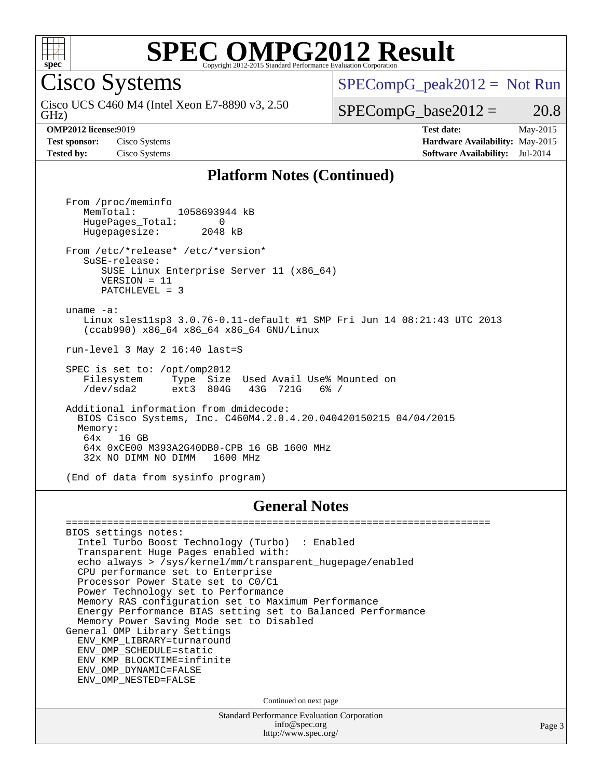

Cisco Systems

GHz) Cisco UCS C460 M4 (Intel Xeon E7-8890 v3, 2.50  $SPECompG_peak2012 = Not Run$  $SPECompG_peak2012 = Not Run$ 

 $SPECompG_base2012 = 20.8$  $SPECompG_base2012 = 20.8$ 

**[OMP2012 license:](http://www.spec.org/auto/omp2012/Docs/result-fields.html#OMP2012license)**9019 **[Test date:](http://www.spec.org/auto/omp2012/Docs/result-fields.html#Testdate)** May-2015 **[Test sponsor:](http://www.spec.org/auto/omp2012/Docs/result-fields.html#Testsponsor)** Cisco Systems **[Hardware Availability:](http://www.spec.org/auto/omp2012/Docs/result-fields.html#HardwareAvailability)** May-2015 **[Tested by:](http://www.spec.org/auto/omp2012/Docs/result-fields.html#Testedby)** Cisco Systems **[Software Availability:](http://www.spec.org/auto/omp2012/Docs/result-fields.html#SoftwareAvailability)** Jul-2014

#### **[Platform Notes \(Continued\)](http://www.spec.org/auto/omp2012/Docs/result-fields.html#PlatformNotes)**

 From /proc/meminfo MemTotal: 1058693944 kB HugePages\_Total: 0<br>Hugepagesize: 2048 kB Hugepagesize: From /etc/\*release\* /etc/\*version\* SuSE-release: SUSE Linux Enterprise Server 11 (x86\_64) VERSION = 11 PATCHLEVEL = 3 uname -a: Linux sles11sp3 3.0.76-0.11-default #1 SMP Fri Jun 14 08:21:43 UTC 2013 (ccab990) x86\_64 x86\_64 x86\_64 GNU/Linux run-level 3 May 2 16:40 last=S SPEC is set to: /opt/omp2012<br>Filesystem Type Size Used Avail Use% Mounted on Filesystem Type Size Used Avail Use% M<br>/dev/sda2 ext3 804G 43G 721G 6% / Additional information from dmidecode: BIOS Cisco Systems, Inc. C460M4.2.0.4.20.040420150215 04/04/2015 Memory:<br>64x 16 GB 64x 0xCE00 M393A2G40DB0-CPB 16 GB 1600 MHz 32x NO DIMM NO DIMM 1600 MHz

(End of data from sysinfo program)

#### **[General Notes](http://www.spec.org/auto/omp2012/Docs/result-fields.html#GeneralNotes)**

Standard Performance Evaluation Corporation [info@spec.org](mailto:info@spec.org) <http://www.spec.org/> ======================================================================== BIOS settings notes: Intel Turbo Boost Technology (Turbo) : Enabled Transparent Huge Pages enabled with: echo always > /sys/kernel/mm/transparent\_hugepage/enabled CPU performance set to Enterprise Processor Power State set to C0/C1 Power Technology set to Performance Memory RAS configuration set to Maximum Performance Energy Performance BIAS setting set to Balanced Performance Memory Power Saving Mode set to Disabled General OMP Library Settings ENV\_KMP\_LIBRARY=turnaround ENV\_OMP\_SCHEDULE=static ENV\_KMP\_BLOCKTIME=infinite ENV\_OMP\_DYNAMIC=FALSE ENV\_OMP\_NESTED=FALSE Continued on next page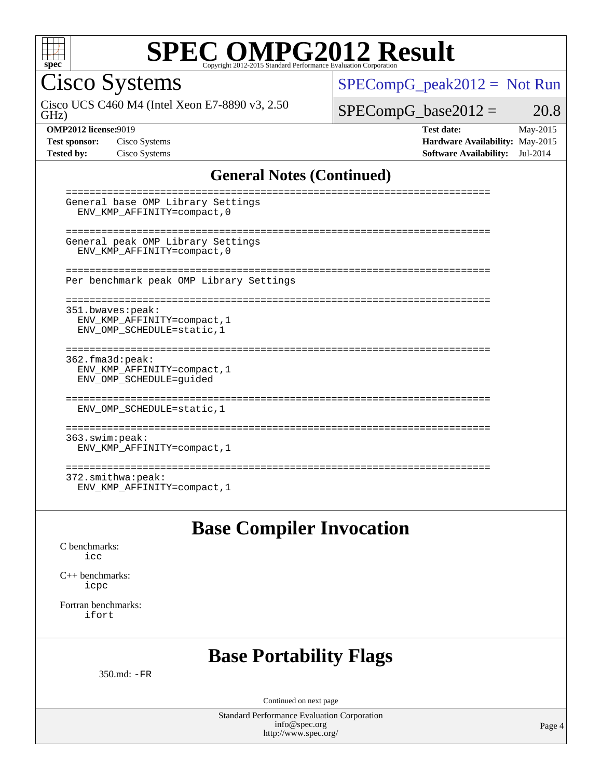

Cisco Systems

GHz) Cisco UCS C460 M4 (Intel Xeon E7-8890 v3, 2.50 [SPECompG\\_peak2012 =](http://www.spec.org/auto/omp2012/Docs/result-fields.html#SPECompGpeak2012) Not Run

 $SPECompG_base2012 = 20.8$  $SPECompG_base2012 = 20.8$ 

**[OMP2012 license:](http://www.spec.org/auto/omp2012/Docs/result-fields.html#OMP2012license)**9019 **[Test date:](http://www.spec.org/auto/omp2012/Docs/result-fields.html#Testdate)** May-2015 **[Test sponsor:](http://www.spec.org/auto/omp2012/Docs/result-fields.html#Testsponsor)** Cisco Systems **[Hardware Availability:](http://www.spec.org/auto/omp2012/Docs/result-fields.html#HardwareAvailability)** May-2015 **[Tested by:](http://www.spec.org/auto/omp2012/Docs/result-fields.html#Testedby)** Cisco Systems **[Software Availability:](http://www.spec.org/auto/omp2012/Docs/result-fields.html#SoftwareAvailability)** Jul-2014

### **[General Notes \(Continued\)](http://www.spec.org/auto/omp2012/Docs/result-fields.html#GeneralNotes)**

| General base OMP Library Settings<br>ENV KMP AFFINITY=compact, 0                 |
|----------------------------------------------------------------------------------|
| General peak OMP Library Settings<br>ENV KMP AFFINITY=compact, 0                 |
| Per benchmark peak OMP Library Settings                                          |
| 351.bwaves:peak:<br>ENV KMP AFFINITY=compact, 1<br>ENV_OMP_SCHEDULE=static, 1    |
| $362.f$ ma $3d:$ peak:<br>ENV KMP AFFINITY=compact, 1<br>ENV OMP SCHEDULE=quided |
| ENV_OMP_SCHEDULE=static, 1                                                       |
| --------<br>363.swim:peak:<br>ENV KMP AFFINITY=compact, 1                        |
| --------------<br>372.smithwa:peak:<br>ENV KMP AFFINITY=compact, 1               |

**[Base Compiler Invocation](http://www.spec.org/auto/omp2012/Docs/result-fields.html#BaseCompilerInvocation)**

[C benchmarks](http://www.spec.org/auto/omp2012/Docs/result-fields.html#Cbenchmarks): [icc](http://www.spec.org/omp2012/results/res2015q2/omp2012-20150527-00066.flags.html#user_CCbase_intel_icc_a87c68a857bc5ec5362391a49d3a37a6)

[C++ benchmarks:](http://www.spec.org/auto/omp2012/Docs/result-fields.html#CXXbenchmarks) [icpc](http://www.spec.org/omp2012/results/res2015q2/omp2012-20150527-00066.flags.html#user_CXXbase_intel_icpc_2d899f8d163502b12eb4a60069f80c1c)

[Fortran benchmarks](http://www.spec.org/auto/omp2012/Docs/result-fields.html#Fortranbenchmarks): [ifort](http://www.spec.org/omp2012/results/res2015q2/omp2012-20150527-00066.flags.html#user_FCbase_intel_ifort_8a5e5e06b19a251bdeaf8fdab5d62f20)

### **[Base Portability Flags](http://www.spec.org/auto/omp2012/Docs/result-fields.html#BasePortabilityFlags)**

350.md: [-FR](http://www.spec.org/omp2012/results/res2015q2/omp2012-20150527-00066.flags.html#user_baseFPORTABILITY350_md_f-FR)

Continued on next page

Standard Performance Evaluation Corporation [info@spec.org](mailto:info@spec.org) <http://www.spec.org/>